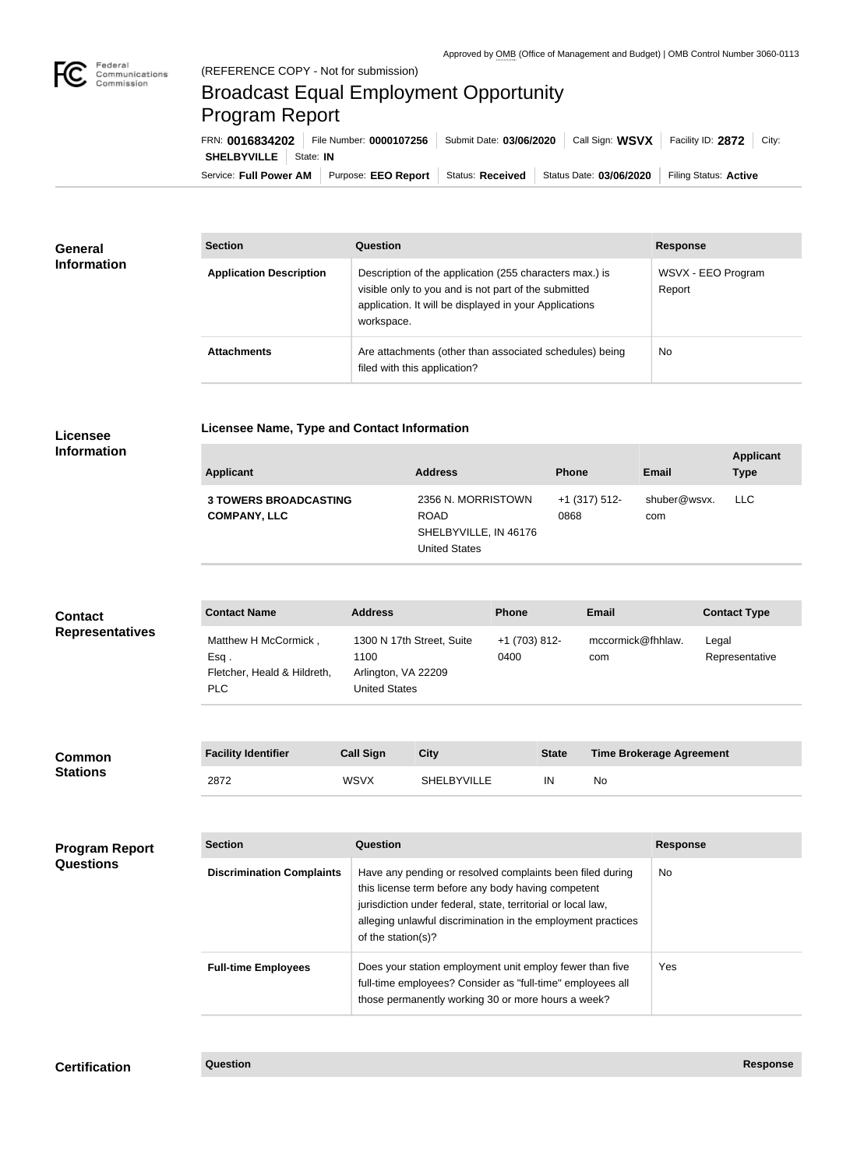

## Broadcast Equal Employment Opportunity Program Report

**Licensee Name, Type and Contact Information**

Service: Full Power AM | Purpose: EEO Report | Status: Received | Status Date: 03/06/2020 | Filing Status: Active **SHELBYVILLE** | State: IN FRN: **0016834202** File Number: **0000107256** Submit Date: **03/06/2020** Call Sign: **WSVX** Facility ID: **2872** City:

| <b>General</b><br><b>Information</b> | <b>Section</b>                 | Question                                                                                                                                                                                | <b>Response</b>              |
|--------------------------------------|--------------------------------|-----------------------------------------------------------------------------------------------------------------------------------------------------------------------------------------|------------------------------|
|                                      | <b>Application Description</b> | Description of the application (255 characters max.) is<br>visible only to you and is not part of the submitted<br>application. It will be displayed in your Applications<br>workspace. | WSVX - EEO Program<br>Report |
|                                      | <b>Attachments</b>             | Are attachments (other than associated schedules) being<br>filed with this application?                                                                                                 | <b>No</b>                    |

## **Licensee Information**

| Applicant                                           | <b>Address</b>                                                                     | <b>Phone</b>          | <b>Email</b>        | <b>Applicant</b><br><b>Type</b> |
|-----------------------------------------------------|------------------------------------------------------------------------------------|-----------------------|---------------------|---------------------------------|
| <b>3 TOWERS BROADCASTING</b><br><b>COMPANY, LLC</b> | 2356 N. MORRISTOWN<br><b>ROAD</b><br>SHELBYVILLE, IN 46176<br><b>United States</b> | +1 (317) 512-<br>0868 | shuber@wsvx.<br>com | <b>LLC</b>                      |

| <b>Contact</b><br><b>Representatives</b> | <b>Contact Name</b>                                                    | <b>Address</b>                                                                   | <b>Phone</b>          | <b>Email</b>                    | <b>Contact Type</b>     |
|------------------------------------------|------------------------------------------------------------------------|----------------------------------------------------------------------------------|-----------------------|---------------------------------|-------------------------|
|                                          | Matthew H McCormick,<br>$Esq$ .<br>Fletcher, Heald & Hildreth,<br>PLC. | 1300 N 17th Street, Suite<br>1100<br>Arlington, VA 22209<br><b>United States</b> | +1 (703) 812-<br>0400 | mccormick@fhhlaw.<br>com        | Legal<br>Representative |
|                                          |                                                                        |                                                                                  |                       |                                 |                         |
| <b>Common</b>                            | <b>Facility Identifier</b>                                             | <b>Call Sign</b><br><b>City</b>                                                  | <b>State</b>          | <b>Time Brokerage Agreement</b> |                         |

| <b>Common</b>   | <b>Facility Identifier</b> | Gan Sign    | UILV               | olale | Time Drugiage Agreement |
|-----------------|----------------------------|-------------|--------------------|-------|-------------------------|
| <b>Stations</b> | 2872                       | <b>WSVX</b> | <b>SHELBYVILLE</b> | IN    | No                      |

| <b>Program Report</b><br><b>Questions</b> | <b>Section</b>                   | Question                                                                                                                                                                                                                                                              | <b>Response</b> |
|-------------------------------------------|----------------------------------|-----------------------------------------------------------------------------------------------------------------------------------------------------------------------------------------------------------------------------------------------------------------------|-----------------|
|                                           | <b>Discrimination Complaints</b> | Have any pending or resolved complaints been filed during<br>this license term before any body having competent<br>jurisdiction under federal, state, territorial or local law,<br>alleging unlawful discrimination in the employment practices<br>of the station(s)? | No.             |
|                                           | <b>Full-time Employees</b>       | Does your station employment unit employ fewer than five<br>full-time employees? Consider as "full-time" employees all<br>those permanently working 30 or more hours a week?                                                                                          | Yes.            |

**Certification Question Response**